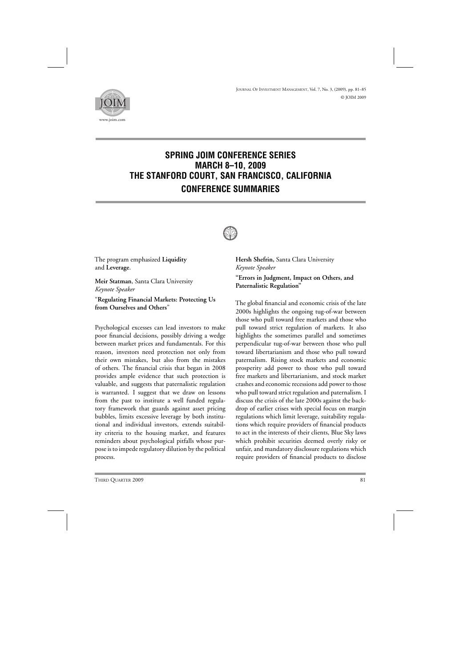

# **SPRING JOIM CONFERENCE SERIES MARCH 8–10, 2009 THE STANFORD COURT, SAN FRANCISCO, CALIFORNIA CONFERENCE SUMMARIES**



The program emphasized **Liquidity** and **Leverage**.

**Meir Statman**, Santa Clara University *Keynote Speaker*

"**Regulating Financial Markets: Protecting Us from Ourselves and Others**"

Psychological excesses can lead investors to make poor financial decisions, possibly driving a wedge between market prices and fundamentals. For this reason, investors need protection not only from their own mistakes, but also from the mistakes of others. The financial crisis that began in 2008 provides ample evidence that such protection is valuable, and suggests that paternalistic regulation is warranted. I suggest that we draw on lessons from the past to institute a well funded regulatory framework that guards against asset pricing bubbles, limits excessive leverage by both institutional and individual investors, extends suitability criteria to the housing market, and features reminders about psychological pitfalls whose purpose is to impede regulatory dilution by the political process.

**Hersh Shefrin,** Santa Clara University *Keynote Speaker* **"Errors in Judgment, Impact on Others, and Paternalistic Regulation"**

The global financial and economic crisis of the late 2000s highlights the ongoing tug-of-war between those who pull toward free markets and those who pull toward strict regulation of markets. It also highlights the sometimes parallel and sometimes perpendicular tug-of-war between those who pull toward libertarianism and those who pull toward paternalism. Rising stock markets and economic prosperity add power to those who pull toward free markets and libertarianism, and stock market crashes and economic recessions add power to those who pull toward strict regulation and paternalism. I discuss the crisis of the late 2000s against the backdrop of earlier crises with special focus on margin regulations which limit leverage, suitability regulations which require providers of financial products to act in the interests of their clients, Blue Sky laws which prohibit securities deemed overly risky or unfair, and mandatory disclosure regulations which require providers of financial products to disclose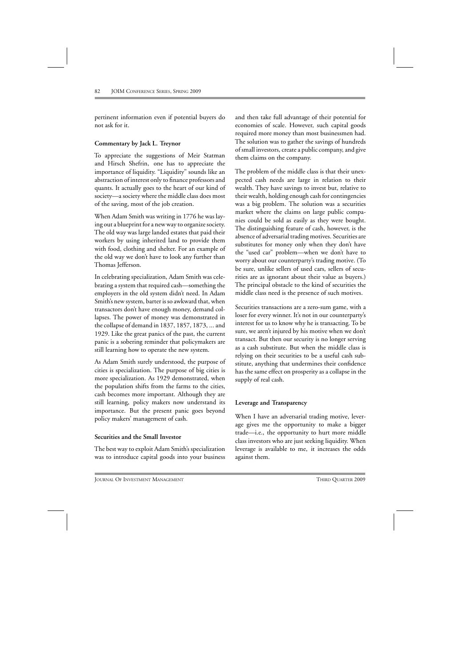pertinent information even if potential buyers do not ask for it.

### **Commentary by Jack L. Treynor**

To appreciate the suggestions of Meir Statman and Hirsch Shefrin, one has to appreciate the importance of liquidity. "Liquidity" sounds like an abstraction of interest only to finance professors and quants. It actually goes to the heart of our kind of society—a society where the middle class does most of the saving, most of the job creation.

When Adam Smith was writing in 1776 he was laying out a blueprint for a new way to organize society. The old way was large landed estates that paid their workers by using inherited land to provide them with food, clothing and shelter. For an example of the old way we don't have to look any further than Thomas Jefferson.

In celebrating specialization, Adam Smith was celebrating a system that required cash—something the employers in the old system didn't need. In Adam Smith's new system, barter is so awkward that, when transactors don't have enough money, demand collapses. The power of money was demonstrated in the collapse of demand in 1837, 1857, 1873, ... and 1929. Like the great panics of the past, the current panic is a sobering reminder that policymakers are still learning how to operate the new system.

As Adam Smith surely understood, the purpose of cities is specialization. The purpose of big cities is more specialization. As 1929 demonstrated, when the population shifts from the farms to the cities, cash becomes more important. Although they are still learning, policy makers now understand its importance. But the present panic goes beyond policy makers' management of cash.

### **Securities and the Small Investor**

The best way to exploit Adam Smith's specialization was to introduce capital goods into your business and then take full advantage of their potential for economies of scale. However, such capital goods required more money than most businessmen had. The solution was to gather the savings of hundreds of small investors, create a public company, and give them claims on the company.

The problem of the middle class is that their unexpected cash needs are large in relation to their wealth. They have savings to invest but, relative to their wealth, holding enough cash for contingencies was a big problem. The solution was a securities market where the claims on large public companies could be sold as easily as they were bought. The distinguishing feature of cash, however, is the absence of adversarial trading motives. Securities are substitutes for money only when they don't have the "used car" problem—when we don't have to worry about our counterparty's trading motive. (To be sure, unlike sellers of used cars, sellers of securities are as ignorant about their value as buyers.) The principal obstacle to the kind of securities the middle class need is the presence of such motives.

Securities transactions are a zero-sum game, with a loser for every winner. It's not in our counterparty's interest for us to know why he is transacting. To be sure, we aren't injured by his motive when we don't transact. But then our security is no longer serving as a cash substitute. But when the middle class is relying on their securities to be a useful cash substitute, anything that undermines their confidence has the same effect on prosperity as a collapse in the supply of real cash.

# **Leverage and Transparency**

When I have an adversarial trading motive, leverage gives me the opportunity to make a bigger trade—i.e., the opportunity to hurt more middle class investors who are just seeking liquidity. When leverage is available to me, it increases the odds against them.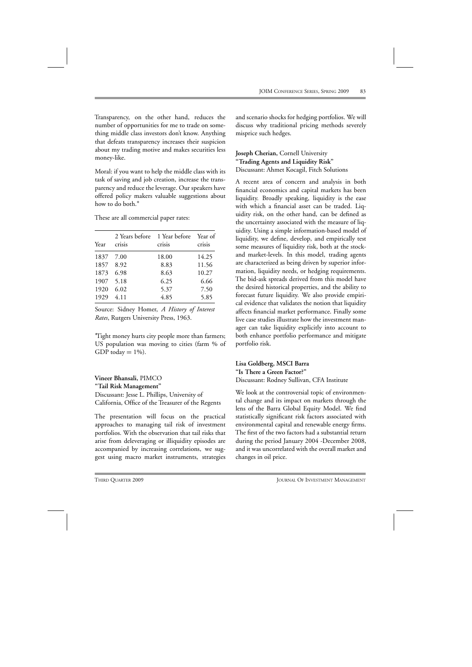Transparency, on the other hand, reduces the number of opportunities for me to trade on something middle class investors don't know. Anything that defeats transparency increases their suspicion about my trading motive and makes securities less money-like.

Moral: if you want to help the middle class with its task of saving and job creation, increase the transparency and reduce the leverage. Our speakers have offered policy makers valuable suggestions about how to do both.∗

These are all commercial paper rates:

| Year | crisis | 2 Years before 1 Year before Year of<br>crisis | crisis |
|------|--------|------------------------------------------------|--------|
| 1837 | 7.00   | 18.00                                          | 14.25  |
| 1857 | 8.92   | 8.83                                           | 11.56  |
| 1873 | 6.98   | 8.63                                           | 10.27  |
| 1907 | 5.18   | 6.25                                           | 6.66   |
| 1920 | 6.02   | 5.37                                           | 7.50   |
| 1929 | 4.11   | 4.85                                           | 5.85   |

Source: Sidney Homer, *A History of Interest Rates*, Rutgers University Press, 1963.

∗ Tight money hurts city people more than farmers; US population was moving to cities (farm % of GDP today  $= 1\%$ ).

**Vineer Bhansali,** PIMCO **"Tail Risk Management"** Discussant: Jesse L. Phillips, University of California, Office of the Treasurer of the Regents

The presentation will focus on the practical approaches to managing tail risk of investment portfolios. With the observation that tail risks that arise from deleveraging or illiquidity episodes are accompanied by increasing correlations, we suggest using macro market instruments, strategies

and scenario shocks for hedging portfolios. We will discuss why traditional pricing methods severely misprice such hedges.

**Joseph Cherian,** Cornell University **"Trading Agents and Liquidity Risk"** Discussant: Ahmet Kocagil, Fitch Solutions

A recent area of concern and analysis in both financial economics and capital markets has been liquidity. Broadly speaking, liquidity is the ease with which a financial asset can be traded. Liquidity risk, on the other hand, can be defined as the uncertainty associated with the measure of liquidity. Using a simple information-based model of liquidity, we define, develop, and empirically test some measures of liquidity risk, both at the stockand market-levels. In this model, trading agents are characterized as being driven by superior information, liquidity needs, or hedging requirements. The bid-ask spreads derived from this model have the desired historical properties, and the ability to forecast future liquidity. We also provide empirical evidence that validates the notion that liquidity affects financial market performance. Finally some live case studies illustrate how the investment manager can take liquidity explicitly into account to both enhance portfolio performance and mitigate portfolio risk.

# **Lisa Goldberg, MSCI Barra "Is There a Green Factor?"**

Discussant: Rodney Sullivan, CFA Institute

We look at the controversial topic of environmental change and its impact on markets through the lens of the Barra Global Equity Model. We find statistically significant risk factors associated with environmental capital and renewable energy firms. The first of the two factors had a substantial return during the period January 2004 -December 2008, and it was uncorrelated with the overall market and changes in oil price.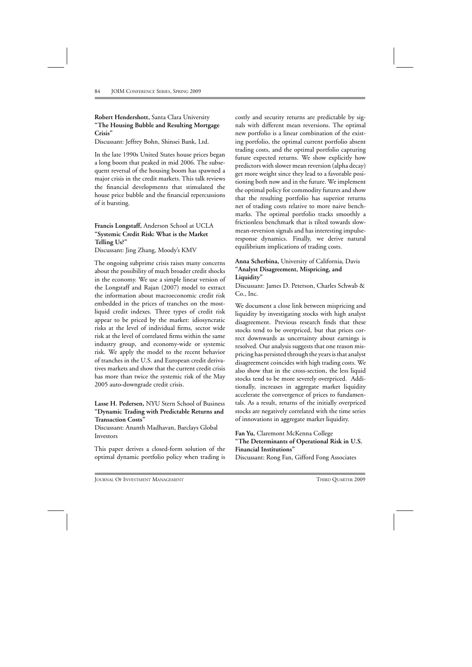# **Robert Hendershott,** Santa Clara University **"The Housing Bubble and Resulting Mortgage Crisis"**

Discussant: Jeffrey Bohn, Shinsei Bank, Ltd.

In the late 1990s United States house prices began a long boom that peaked in mid 2006. The subsequent reversal of the housing boom has spawned a major crisis in the credit markets. This talk reviews the financial developments that stimulated the house price bubble and the financial repercussions of it bursting.

**Francis Longstaff,** Anderson School at UCLA **"Systemic Credit Risk: What is the Market Telling Us?"** Discussant: Jing Zhang, Moody's KMV

The ongoing subprime crisis raises many concerns about the possibility of much broader credit shocks in the economy. We use a simple linear version of the Longstaff and Rajan (2007) model to extract the information about macroeconomic credit risk embedded in the prices of tranches on the mostliquid credit indexes. Three types of credit risk appear to be priced by the market: idiosyncratic risks at the level of individual firms, sector wide risk at the level of correlated firms within the same industry group, and economy-wide or systemic risk. We apply the model to the recent behavior of tranches in the U.S. and European credit derivatives markets and show that the current credit crisis has more than twice the systemic risk of the May 2005 auto-downgrade credit crisis.

### **Lasse H. Pedersen,** NYU Stern School of Business **"Dynamic Trading with Predictable Returns and Transaction Costs"**

Discussant: Ananth Madhavan, Barclays Global Investors

This paper derives a closed-form solution of the optimal dynamic portfolio policy when trading is costly and security returns are predictable by signals with different mean reversions. The optimal new portfolio is a linear combination of the existing portfolio, the optimal current portfolio absent trading costs, and the optimal portfolio capturing future expected returns. We show explicitly how predictors with slower mean reversion (alpha decay) get more weight since they lead to a favorable positioning both now and in the future. We implement the optimal policy for commodity futures and show that the resulting portfolio has superior returns net of trading costs relative to more naive benchmarks. The optimal portfolio tracks smoothly a frictionless benchmark that is tilted towards slowmean-reversion signals and has interesting impulseresponse dynamics. Finally, we derive natural equilibrium implications of trading costs.

# **Anna Scherbina,** University of California, Davis **"Analyst Disagreement, Mispricing, and Liquidity"**

Discussant: James D. Peterson, Charles Schwab & Co., Inc.

We document a close link between mispricing and liquidity by investigating stocks with high analyst disagreement. Previous research finds that these stocks tend to be overpriced, but that prices correct downwards as uncertainty about earnings is resolved. Our analysis suggests that one reason mispricing has persisted through the years is that analyst disagreement coincides with high trading costs. We also show that in the cross-section, the less liquid stocks tend to be more severely overpriced. Additionally, increases in aggregate market liquidity accelerate the convergence of prices to fundamentals. As a result, returns of the initially overpriced stocks are negatively correlated with the time series of innovations in aggregate market liquidity.

# **Fan Yu,** Claremont McKenna College **"The Determinants of Operational Risk in U.S. Financial Institutions"**

Discussant: Rong Fan, Gifford Fong Associates